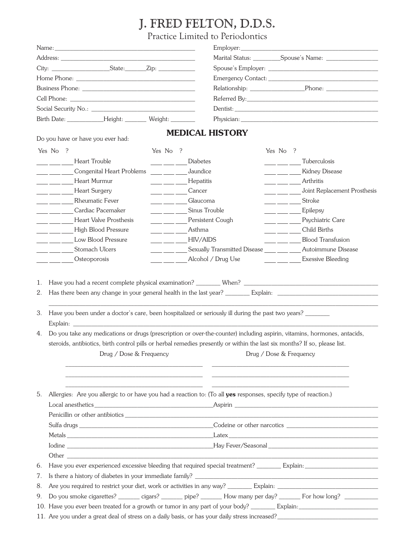## J. FRED FELTON, D.D.S.

Practice Limited to Periodontics

|                |                                                                                                                                                                                                                                                                                                                                                                                                                                                                                                                                                                                                                                                                                                                                                                               |                                                               |                 | I factice Little to Feriodoffics |                                                       |                                                                                                                       |  |  |  |
|----------------|-------------------------------------------------------------------------------------------------------------------------------------------------------------------------------------------------------------------------------------------------------------------------------------------------------------------------------------------------------------------------------------------------------------------------------------------------------------------------------------------------------------------------------------------------------------------------------------------------------------------------------------------------------------------------------------------------------------------------------------------------------------------------------|---------------------------------------------------------------|-----------------|----------------------------------|-------------------------------------------------------|-----------------------------------------------------------------------------------------------------------------------|--|--|--|
|                | Name:                                                                                                                                                                                                                                                                                                                                                                                                                                                                                                                                                                                                                                                                                                                                                                         |                                                               |                 |                                  |                                                       |                                                                                                                       |  |  |  |
|                |                                                                                                                                                                                                                                                                                                                                                                                                                                                                                                                                                                                                                                                                                                                                                                               |                                                               |                 |                                  |                                                       |                                                                                                                       |  |  |  |
|                |                                                                                                                                                                                                                                                                                                                                                                                                                                                                                                                                                                                                                                                                                                                                                                               |                                                               |                 |                                  |                                                       |                                                                                                                       |  |  |  |
|                |                                                                                                                                                                                                                                                                                                                                                                                                                                                                                                                                                                                                                                                                                                                                                                               |                                                               |                 |                                  |                                                       |                                                                                                                       |  |  |  |
|                |                                                                                                                                                                                                                                                                                                                                                                                                                                                                                                                                                                                                                                                                                                                                                                               |                                                               |                 |                                  |                                                       |                                                                                                                       |  |  |  |
|                |                                                                                                                                                                                                                                                                                                                                                                                                                                                                                                                                                                                                                                                                                                                                                                               |                                                               |                 |                                  |                                                       |                                                                                                                       |  |  |  |
|                |                                                                                                                                                                                                                                                                                                                                                                                                                                                                                                                                                                                                                                                                                                                                                                               |                                                               |                 |                                  |                                                       |                                                                                                                       |  |  |  |
|                | Birth Date: _______________Height: _________ Weight: _________                                                                                                                                                                                                                                                                                                                                                                                                                                                                                                                                                                                                                                                                                                                |                                                               |                 |                                  |                                                       |                                                                                                                       |  |  |  |
|                | Do you have or have you ever had:                                                                                                                                                                                                                                                                                                                                                                                                                                                                                                                                                                                                                                                                                                                                             |                                                               |                 | <b>MEDICAL HISTORY</b>           |                                                       |                                                                                                                       |  |  |  |
|                | Yes No ?                                                                                                                                                                                                                                                                                                                                                                                                                                                                                                                                                                                                                                                                                                                                                                      | Yes No ?                                                      |                 |                                  | Yes No ?                                              |                                                                                                                       |  |  |  |
|                | Heart Trouble                                                                                                                                                                                                                                                                                                                                                                                                                                                                                                                                                                                                                                                                                                                                                                 |                                                               | <b>Diabetes</b> |                                  |                                                       | Tuberculosis                                                                                                          |  |  |  |
|                | Congenital Heart Problems<br>$\pm$ and $\pm$                                                                                                                                                                                                                                                                                                                                                                                                                                                                                                                                                                                                                                                                                                                                  |                                                               | Jaundice        |                                  | <u> 1999 - Jan Jan Jawa</u>                           | <b>Kidney Disease</b>                                                                                                 |  |  |  |
|                | Heart Murmur<br>$\frac{1}{2}$ and $\frac{1}{2}$                                                                                                                                                                                                                                                                                                                                                                                                                                                                                                                                                                                                                                                                                                                               | <u> 1999 - Jan James</u>                                      | Hepatitis       |                                  | <u> 1999 - Jan Barnett, p</u>                         | Arthritis                                                                                                             |  |  |  |
|                | Heart Surgery<br>$\frac{1}{2}$ and $\frac{1}{2}$                                                                                                                                                                                                                                                                                                                                                                                                                                                                                                                                                                                                                                                                                                                              |                                                               | Cancer          |                                  | <u> 1999 - Jan Barnett, f</u>                         | Joint Replacement Prosthesis                                                                                          |  |  |  |
|                | <b>Rheumatic Fever</b>                                                                                                                                                                                                                                                                                                                                                                                                                                                                                                                                                                                                                                                                                                                                                        |                                                               | Glaucoma        |                                  |                                                       | $\frac{1}{\sqrt{1-\frac{1}{2}}}$ Stroke                                                                               |  |  |  |
|                | Cardiac Pacemaker<br>$\overline{\phantom{a}}$                                                                                                                                                                                                                                                                                                                                                                                                                                                                                                                                                                                                                                                                                                                                 |                                                               | Sinus Trouble   |                                  |                                                       | Epilepsy                                                                                                              |  |  |  |
|                | <b>Heart Valve Prosthesis</b><br>$\equiv$ $\equiv$ $\equiv$ $\equiv$ $\equiv$                                                                                                                                                                                                                                                                                                                                                                                                                                                                                                                                                                                                                                                                                                 | $\frac{1}{2}$ , $\frac{1}{2}$ , $\frac{1}{2}$ , $\frac{1}{2}$ |                 | Persistent Cough                 |                                                       | Psychiatric Care                                                                                                      |  |  |  |
|                | High Blood Pressure                                                                                                                                                                                                                                                                                                                                                                                                                                                                                                                                                                                                                                                                                                                                                           |                                                               | Asthma          |                                  |                                                       | $\frac{1}{2}$ Child Births                                                                                            |  |  |  |
|                | Low Blood Pressure                                                                                                                                                                                                                                                                                                                                                                                                                                                                                                                                                                                                                                                                                                                                                            | <u>and a station</u>                                          | <b>HIV/AIDS</b> |                                  |                                                       | <b>Blood Transfusion</b>                                                                                              |  |  |  |
|                | Stomach Ulcers                                                                                                                                                                                                                                                                                                                                                                                                                                                                                                                                                                                                                                                                                                                                                                |                                                               |                 | Sexually Transmitted Disease     | $\overline{\phantom{a}}$ and $\overline{\phantom{a}}$ | Autoimmune Disease                                                                                                    |  |  |  |
|                | Osteoporosis                                                                                                                                                                                                                                                                                                                                                                                                                                                                                                                                                                                                                                                                                                                                                                  |                                                               |                 | Alcohol / Drug Use               |                                                       | <b>Exessive Bleeding</b>                                                                                              |  |  |  |
| 2.<br>3.<br>4. | Have you been under a doctor's care, been hospitalized or seriously ill during the past two years?<br>Explain: The contract of the contract of the contract of the contract of the contract of the contract of the contract of the contract of the contract of the contract of the contract of the contract of the contract of the c<br>Do you take any medications or drugs (prescription or over-the-counter) including aspirin, vitamins, hormones, antacids,<br>steroids, antibiotics, birth control pills or herbal remedies presently or within the last six months? If so, please list.<br>Drug / Dose & Frequency<br>Drug / Dose & Frequency<br><u> 1989 - Johann Harry Harry Harry Harry Harry Harry Harry Harry Harry Harry Harry Harry Harry Harry Harry Harry</u> |                                                               |                 |                                  |                                                       |                                                                                                                       |  |  |  |
| 5.             | <u> 1989 - Andrea Santa Alemania, amerikan personalar personalar personalar personalar personalar personalar per</u><br>Allergies: Are you allergic to or have you had a reaction to: (To all yes responses, specify type of reaction.)                                                                                                                                                                                                                                                                                                                                                                                                                                                                                                                                       |                                                               |                 |                                  |                                                       | <u> 1989 - Johann Harry Harry Harry Harry Harry Harry Harry Harry Harry Harry Harry Harry Harry Harry Harry Harry</u> |  |  |  |
|                |                                                                                                                                                                                                                                                                                                                                                                                                                                                                                                                                                                                                                                                                                                                                                                               |                                                               |                 |                                  |                                                       |                                                                                                                       |  |  |  |
|                |                                                                                                                                                                                                                                                                                                                                                                                                                                                                                                                                                                                                                                                                                                                                                                               |                                                               |                 |                                  |                                                       |                                                                                                                       |  |  |  |
|                |                                                                                                                                                                                                                                                                                                                                                                                                                                                                                                                                                                                                                                                                                                                                                                               |                                                               |                 |                                  |                                                       |                                                                                                                       |  |  |  |
|                |                                                                                                                                                                                                                                                                                                                                                                                                                                                                                                                                                                                                                                                                                                                                                                               |                                                               |                 |                                  |                                                       |                                                                                                                       |  |  |  |
|                |                                                                                                                                                                                                                                                                                                                                                                                                                                                                                                                                                                                                                                                                                                                                                                               |                                                               |                 |                                  |                                                       |                                                                                                                       |  |  |  |
| 6.             |                                                                                                                                                                                                                                                                                                                                                                                                                                                                                                                                                                                                                                                                                                                                                                               |                                                               |                 |                                  |                                                       |                                                                                                                       |  |  |  |
| 7.             |                                                                                                                                                                                                                                                                                                                                                                                                                                                                                                                                                                                                                                                                                                                                                                               |                                                               |                 |                                  |                                                       |                                                                                                                       |  |  |  |
| 8.             |                                                                                                                                                                                                                                                                                                                                                                                                                                                                                                                                                                                                                                                                                                                                                                               |                                                               |                 |                                  |                                                       |                                                                                                                       |  |  |  |
| 9.             | Do you smoke cigarettes? ________ cigars? ________ pipe? ________ How many per day? _______ For how long? __________                                                                                                                                                                                                                                                                                                                                                                                                                                                                                                                                                                                                                                                          |                                                               |                 |                                  |                                                       |                                                                                                                       |  |  |  |

10. Have you ever been treated for a growth or tumor in any part of your body? \_\_\_\_\_\_\_\_ Explain:\_\_\_\_\_\_\_\_\_\_\_\_\_\_\_\_\_\_\_\_\_\_\_\_\_\_

11. Are you under a great deal of stress on a daily basis, or has your daily stress increased?